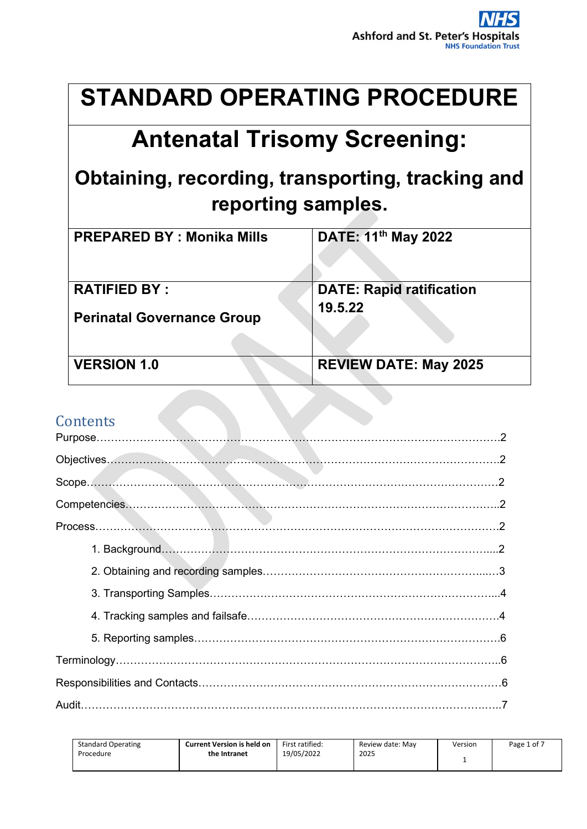## STANDARD OPERATING PROCEDURE

# Antenatal Trisomy Screening:

## Obtaining, recording, transporting, tracking and reporting samples.

| <b>PREPARED BY: Monika Mills</b>  | DATE: 11 <sup>th</sup> May 2022 |
|-----------------------------------|---------------------------------|
|                                   |                                 |
| <b>RATIFIED BY:</b>               | <b>DATE: Rapid ratification</b> |
| <b>Perinatal Governance Group</b> | 19.5.22                         |
|                                   |                                 |
| <b>VERSION 1.0</b>                | <b>REVIEW DATE: May 2025</b>    |
|                                   |                                 |

## Contents

| <b>Standard Operating</b><br>Procedure | <b>Current Version is held on</b><br>the Intranet | First ratified:<br>19/05/2022 | Review date: May<br>2025 | Version | Page 1 of 7 |
|----------------------------------------|---------------------------------------------------|-------------------------------|--------------------------|---------|-------------|
|----------------------------------------|---------------------------------------------------|-------------------------------|--------------------------|---------|-------------|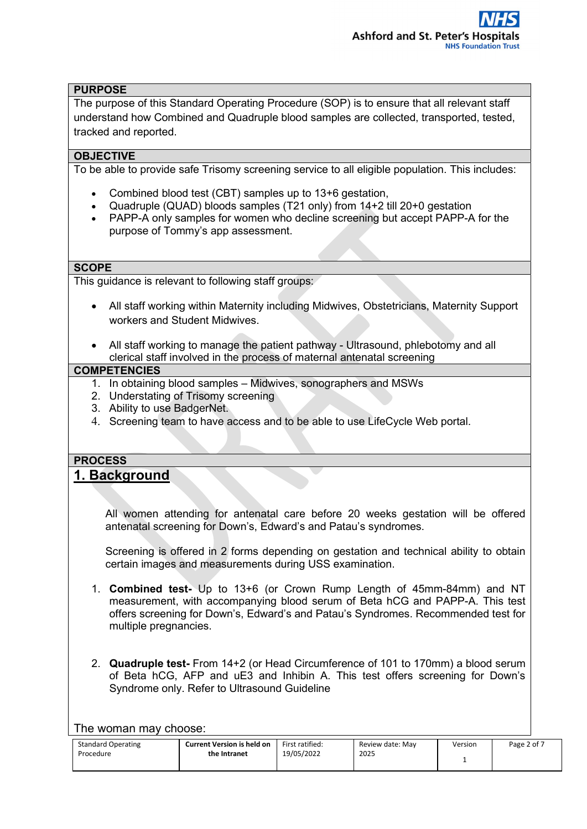### PURPOSE

The purpose of this Standard Operating Procedure (SOP) is to ensure that all relevant staff understand how Combined and Quadruple blood samples are collected, transported, tested, tracked and reported.

### **OBJECTIVE**

To be able to provide safe Trisomy screening service to all eligible population. This includes:

- Combined blood test (CBT) samples up to 13+6 gestation,
- Quadruple (QUAD) bloods samples (T21 only) from 14+2 till 20+0 gestation
- PAPP-A only samples for women who decline screening but accept PAPP-A for the purpose of Tommy's app assessment.

#### **SCOPE**

This guidance is relevant to following staff groups:

- All staff working within Maternity including Midwives, Obstetricians, Maternity Support workers and Student Midwives.
- All staff working to manage the patient pathway Ultrasound, phlebotomy and all clerical staff involved in the process of maternal antenatal screening

#### **COMPETENCIES**

- 1. In obtaining blood samples Midwives, sonographers and MSWs
- 2. Understating of Trisomy screening
- 3. Ability to use BadgerNet.
- 4. Screening team to have access and to be able to use LifeCycle Web portal.

## **PROCESS**

## 1. Background

All women attending for antenatal care before 20 weeks gestation will be offered antenatal screening for Down's, Edward's and Patau's syndromes.

Screening is offered in 2 forms depending on gestation and technical ability to obtain certain images and measurements during USS examination.

- 1. Combined test- Up to 13+6 (or Crown Rump Length of 45mm-84mm) and NT measurement, with accompanying blood serum of Beta hCG and PAPP-A. This test offers screening for Down's, Edward's and Patau's Syndromes. Recommended test for multiple pregnancies.
- 2. Quadruple test- From 14+2 (or Head Circumference of 101 to 170mm) a blood serum of Beta hCG, AFP and uE3 and Inhibin A. This test offers screening for Down's Syndrome only. Refer to Ultrasound Guideline

The woman may choose:

| <b>Standard Operating</b> | <b>Current Version is held on</b> | First ratified: | Review date: May | Version | Page 2 of 7 |
|---------------------------|-----------------------------------|-----------------|------------------|---------|-------------|
| Procedure                 | the Intranet                      | 19/05/2022      | 2025             |         |             |
|                           |                                   |                 |                  |         |             |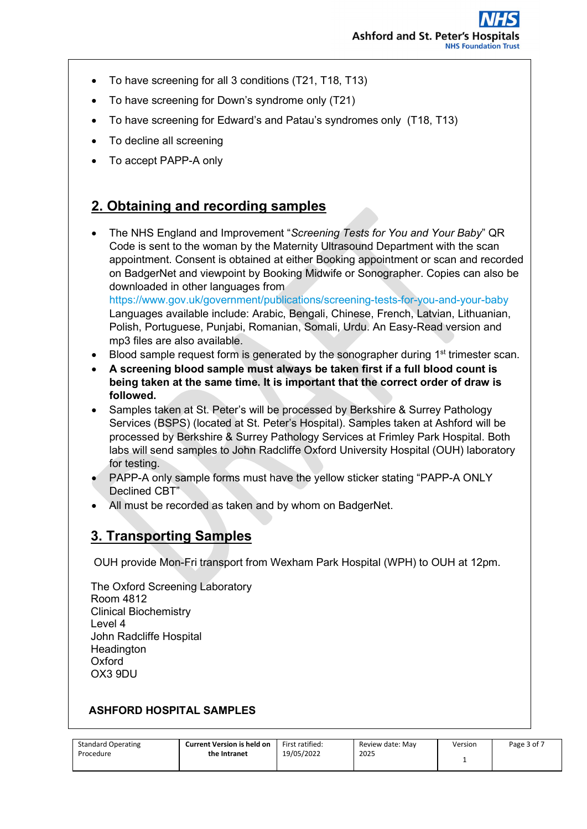- To have screening for all 3 conditions (T21, T18, T13)
- To have screening for Down's syndrome only (T21)
- To have screening for Edward's and Patau's syndromes only (T18, T13)
- To decline all screening
- To accept PAPP-A only

## 2. Obtaining and recording samples

- The NHS England and Improvement "Screening Tests for You and Your Baby" QR Code is sent to the woman by the Maternity Ultrasound Department with the scan appointment. Consent is obtained at either Booking appointment or scan and recorded on BadgerNet and viewpoint by Booking Midwife or Sonographer. Copies can also be downloaded in other languages from https://www.gov.uk/government/publications/screening-tests-for-you-and-your-baby Languages available include: Arabic, Bengali, Chinese, French, Latvian, Lithuanian, Polish, Portuguese, Punjabi, Romanian, Somali, Urdu. An Easy-Read version and
- mp3 files are also available. Blood sample request form is generated by the sonographer during 1<sup>st</sup> trimester scan.
- A screening blood sample must always be taken first if a full blood count is being taken at the same time. It is important that the correct order of draw is followed.
- Samples taken at St. Peter's will be processed by Berkshire & Surrey Pathology Services (BSPS) (located at St. Peter's Hospital). Samples taken at Ashford will be processed by Berkshire & Surrey Pathology Services at Frimley Park Hospital. Both labs will send samples to John Radcliffe Oxford University Hospital (OUH) laboratory for testing.
- PAPP-A only sample forms must have the yellow sticker stating "PAPP-A ONLY Declined CBT"
- All must be recorded as taken and by whom on BadgerNet.

## 3. Transporting Samples

OUH provide Mon-Fri transport from Wexham Park Hospital (WPH) to OUH at 12pm.

The Oxford Screening Laboratory Room 4812 Clinical Biochemistry Level 4 John Radcliffe Hospital **Headington Oxford** OX3 9DU

## ASHFORD HOSPITAL SAMPLES

| <b>Standard Operating</b> | <b>Current Version is held on</b> | First ratified: | Review date: Mav | Version | Page 3 of 7 |
|---------------------------|-----------------------------------|-----------------|------------------|---------|-------------|
| Procedure                 | the Intranet                      | 19/05/2022      | 2025             |         |             |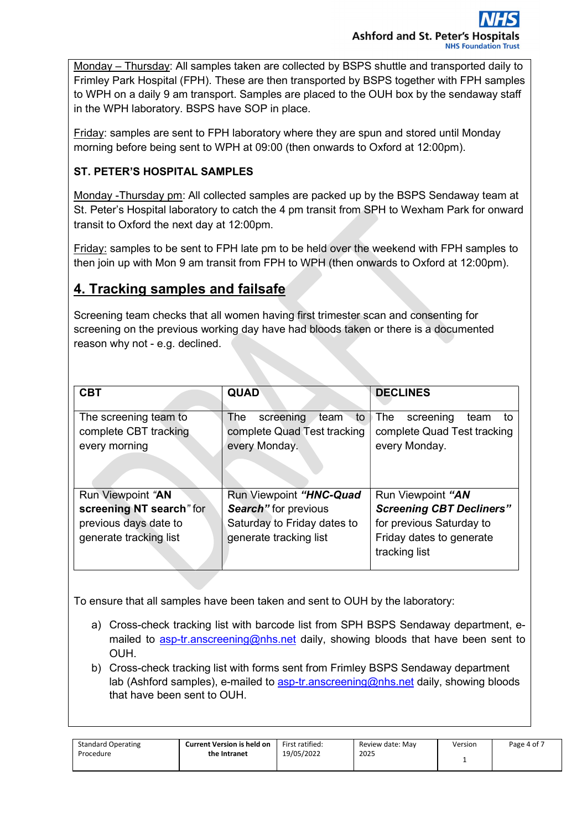Monday – Thursday: All samples taken are collected by BSPS shuttle and transported daily to Frimley Park Hospital (FPH). These are then transported by BSPS together with FPH samples to WPH on a daily 9 am transport. Samples are placed to the OUH box by the sendaway staff in the WPH laboratory. BSPS have SOP in place.

Friday: samples are sent to FPH laboratory where they are spun and stored until Monday morning before being sent to WPH at 09:00 (then onwards to Oxford at 12:00pm).

## ST. PETER'S HOSPITAL SAMPLES

Monday -Thursday pm: All collected samples are packed up by the BSPS Sendaway team at St. Peter's Hospital laboratory to catch the 4 pm transit from SPH to Wexham Park for onward transit to Oxford the next day at 12:00pm.

**Friday:** samples to be sent to FPH late pm to be held over the weekend with FPH samples to then join up with Mon 9 am transit from FPH to WPH (then onwards to Oxford at 12:00pm).

## 4. Tracking samples and failsafe

Screening team checks that all women having first trimester scan and consenting for screening on the previous working day have had bloods taken or there is a documented reason why not - e.g. declined.

| <b>CBT</b>                                                      | <b>QUAD</b>                                                                    | <b>DECLINES</b>                                                                |
|-----------------------------------------------------------------|--------------------------------------------------------------------------------|--------------------------------------------------------------------------------|
| The screening team to<br>complete CBT tracking<br>every morning | to<br>The<br>screening<br>team<br>complete Quad Test tracking<br>every Monday. | The<br>screening<br>team<br>to<br>complete Quad Test tracking<br>every Monday. |
| Run Viewpoint "AN                                               | Run Viewpoint "HNC-Quad                                                        | Run Viewpoint "AN                                                              |
| screening NT search" for                                        | <b>Search</b> " for previous                                                   | <b>Screening CBT Decliners"</b>                                                |
| previous days date to                                           | Saturday to Friday dates to                                                    | for previous Saturday to                                                       |
| generate tracking list                                          | generate tracking list                                                         | Friday dates to generate<br>tracking list                                      |

To ensure that all samples have been taken and sent to OUH by the laboratory:

- a) Cross-check tracking list with barcode list from SPH BSPS Sendaway department, emailed to asp-tr.anscreening@nhs.net daily, showing bloods that have been sent to OUH.
- b) Cross-check tracking list with forms sent from Frimley BSPS Sendaway department lab (Ashford samples), e-mailed to asp-tr.anscreening@nhs.net daily, showing bloods that have been sent to OUH.

| <b>Standard Operating</b> | <b>Current Version is held on</b> | First ratified: | Review date: May | Version | Page 4 of 7 |
|---------------------------|-----------------------------------|-----------------|------------------|---------|-------------|
| Procedure                 | the Intranet                      | 19/05/2022      | 2025             |         |             |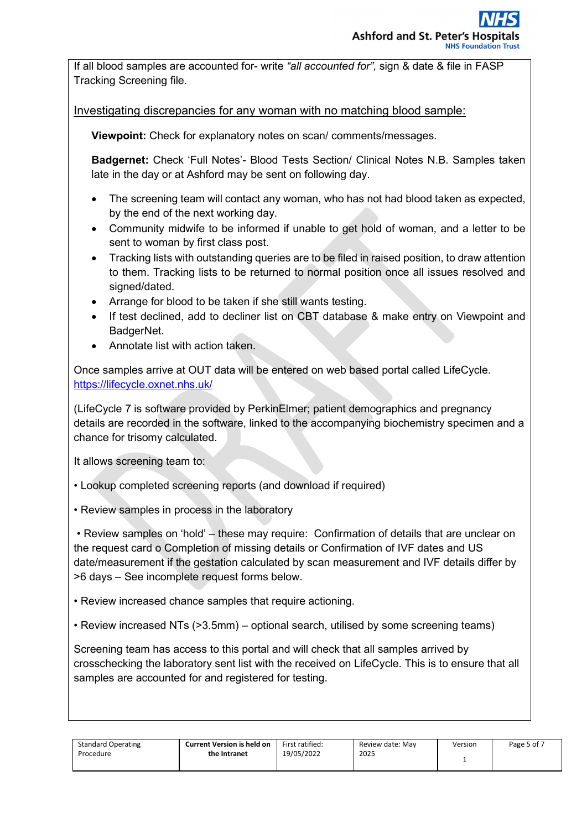If all blood samples are accounted for- write "all accounted for", sign & date & file in FASP Tracking Screening file.

Investigating discrepancies for any woman with no matching blood sample:

Viewpoint: Check for explanatory notes on scan/ comments/messages.

Badgernet: Check 'Full Notes'- Blood Tests Section/ Clinical Notes N.B. Samples taken late in the day or at Ashford may be sent on following day.

- The screening team will contact any woman, who has not had blood taken as expected, by the end of the next working day.
- Community midwife to be informed if unable to get hold of woman, and a letter to be sent to woman by first class post.
- Tracking lists with outstanding queries are to be filed in raised position, to draw attention to them. Tracking lists to be returned to normal position once all issues resolved and signed/dated.
- Arrange for blood to be taken if she still wants testing.
- If test declined, add to decliner list on CBT database & make entry on Viewpoint and BadgerNet.
- Annotate list with action taken.

Once samples arrive at OUT data will be entered on web based portal called LifeCycle. https://lifecycle.oxnet.nhs.uk/

(LifeCycle 7 is software provided by PerkinElmer; patient demographics and pregnancy details are recorded in the software, linked to the accompanying biochemistry specimen and a chance for trisomy calculated.

It allows screening team to:

- Lookup completed screening reports (and download if required)
- Review samples in process in the laboratory

 • Review samples on 'hold' – these may require: Confirmation of details that are unclear on the request card o Completion of missing details or Confirmation of IVF dates and US date/measurement if the gestation calculated by scan measurement and IVF details differ by >6 days – See incomplete request forms below.

• Review increased chance samples that require actioning.

• Review increased NTs (>3.5mm) – optional search, utilised by some screening teams)

Screening team has access to this portal and will check that all samples arrived by crosschecking the laboratory sent list with the received on LifeCycle. This is to ensure that all samples are accounted for and registered for testing.

| <b>Standard Operating</b> | <b>Current Version is held on</b> | First ratified: | Review date: May | Version | Page 5 of 7 |
|---------------------------|-----------------------------------|-----------------|------------------|---------|-------------|
| Procedure                 | the Intranet                      | 19/05/2022      | 2025             |         |             |
|                           |                                   |                 |                  |         |             |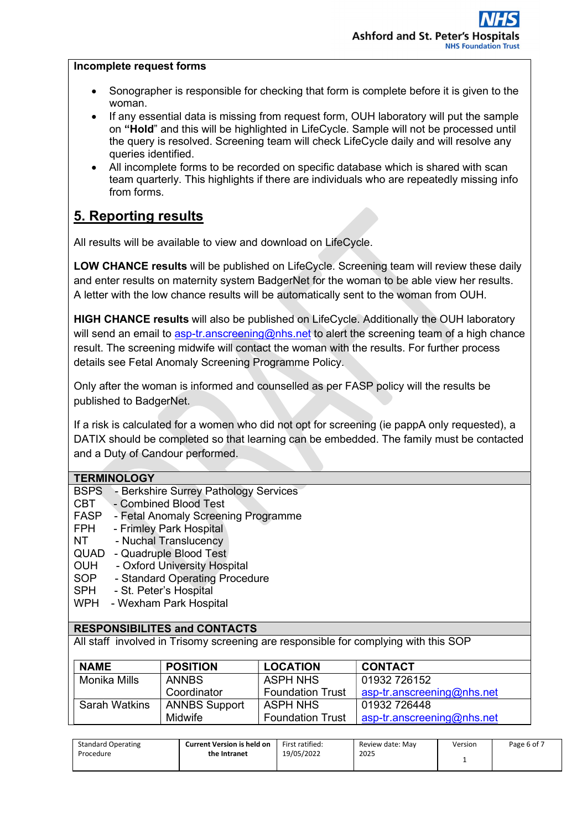#### Incomplete request forms

- Sonographer is responsible for checking that form is complete before it is given to the woman.
- If any essential data is missing from request form, OUH laboratory will put the sample on "Hold" and this will be highlighted in LifeCycle. Sample will not be processed until the query is resolved. Screening team will check LifeCycle daily and will resolve any queries identified.
- All incomplete forms to be recorded on specific database which is shared with scan team quarterly. This highlights if there are individuals who are repeatedly missing info from forms.

## 5. Reporting results

All results will be available to view and download on LifeCycle.

LOW CHANCE results will be published on LifeCycle. Screening team will review these daily and enter results on maternity system BadgerNet for the woman to be able view her results. A letter with the low chance results will be automatically sent to the woman from OUH.

HIGH CHANCE results will also be published on LifeCycle. Additionally the OUH laboratory will send an email to asp-tr.anscreening@nhs.net to alert the screening team of a high chance result. The screening midwife will contact the woman with the results. For further process details see Fetal Anomaly Screening Programme Policy.

Only after the woman is informed and counselled as per FASP policy will the results be published to BadgerNet.

If a risk is calculated for a women who did not opt for screening (ie pappA only requested), a DATIX should be completed so that learning can be embedded. The family must be contacted and a Duty of Candour performed.

#### **TERMINOLOGY**

| <b>BSPS</b> | - Berkshire Surrey Pathology Services                                                  |
|-------------|----------------------------------------------------------------------------------------|
| <b>CBT</b>  | - Combined Blood Test                                                                  |
| <b>FASP</b> | - Fetal Anomaly Screening Programme                                                    |
| <b>FPH</b>  | - Frimley Park Hospital                                                                |
| NT          | - Nuchal Translucency                                                                  |
| <b>QUAD</b> | - Quadruple Blood Test                                                                 |
| <b>OUH</b>  | - Oxford University Hospital                                                           |
| SOP         | - Standard Operating Procedure                                                         |
| י יהם       | $\mathsf{D}$ is $\mathsf{D}$ in the state of $\mathsf{D}$ in the state of $\mathsf{D}$ |

- SPH St. Peter's Hospital
- WPH Wexham Park Hospital

#### RESPONSIBILITES and CONTACTS

All staff involved in Trisomy screening are responsible for complying with this SOP

| <b>NAME</b>          | <b>POSITION</b>      | <b>LOCATION</b>         | <b>CONTACT</b>             |
|----------------------|----------------------|-------------------------|----------------------------|
| Monika Mills         | <b>ANNBS</b>         | ASPH NHS                | 01932 726152               |
|                      | Coordinator          | <b>Foundation Trust</b> | asp-tr.anscreening@nhs.net |
| <b>Sarah Watkins</b> | <b>ANNBS Support</b> | <b>ASPH NHS</b>         | 01932 726448               |
|                      | <b>Midwife</b>       | <b>Foundation Trust</b> | asp-tr.anscreening@nhs.net |

| <b>Standard Operating</b><br>Procedure | <b>Current Version is held on</b><br>the Intranet | First ratified:<br>19/05/2022 | Review date: May<br>2025 | Version | Page 6 of 7 |
|----------------------------------------|---------------------------------------------------|-------------------------------|--------------------------|---------|-------------|
|                                        |                                                   |                               |                          |         |             |